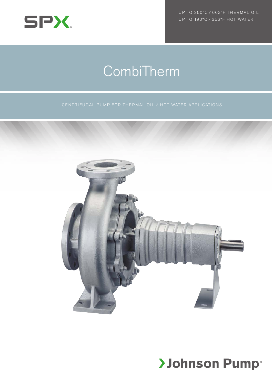

UP TO 350°C / 662°F THERMAL OIL UP TO 190°C / 356°F HOT WATER

# CombiTherm



## **>Johnson Pump®**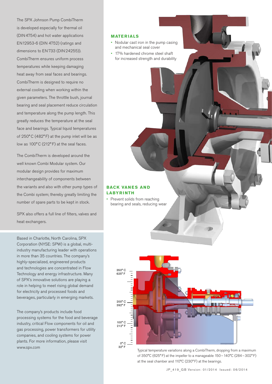The SPX Johnson Pump CombiTherm is developed especially for thermal oil (DIN 4754) and hot water applications EN12953-6 (DIN 4752) (ratings and dimensions to EN 733 (DIN 24255)). CombiTherm ensures uniform process temperatures while keeping damaging heat away from seal faces and bearings. CombiTherm is designed to require no external cooling when working within the given parameters. The throttle bush, journal bearing and seal placement reduce circulation and temperature along the pump length. This greatly reduces the temperature at the seal face and bearings. Typical liquid temperatures of 250°C (482° F) at the pump inlet will be as low as 100°C (212° F) at the seal faces.

The CombiTherm is developed around the well known Combi Modular system. Our modular design provides for maximum interchangeability of components between the variants and also with other pump types of the Combi system; thereby greatly limiting the number of spare parts to be kept in stock.

SPX also offers a full line of filters, valves and heat exchangers.

Based in Charlotte, North Carolina, SPX Corporation (NYSE: SPW) is a global, multiindustry manufacturing leader with operations in more than 35 countries. The company's highly-specialized, engineered products and technologies are concentrated in Flow Technology and energy infrastructure. Many of SPX's innovative solutions are playing a role in helping to meet rising global demand for electricity and processed foods and beverages, particularly in emerging markets.

The company's products include food processing systems for the food and beverage industry, critical Flow components for oil and gas processing, power transformers for utility companies, and cooling systems for power plants. For more information, please visit www.spx.com

#### **MATERIALS**

- Nodular cast iron in the pump casing and mechanical seal cover
- • 17% hardened chrome steel shaft for increased strength and durability

#### **BACK VANES AND LABYRINTH**

• Prevent solids from reaching bearing and seals, reducing wear



Typical temperature variations along a CombiTherm, dropping from a maximum of 350°C (625°F) at the impeller to a manageable 150–140°C (284–302°F) at the seal chamber and 110°C (230°F) at the bearings.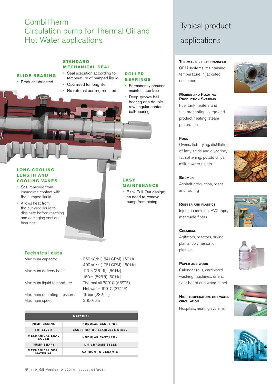### CombiTherm Circulation pump for Thermal Oil and Hot Water applications

#### **STAN DAR D MECHANICAL SEAL**

#### **SLIDE BEARING**

- Product lubricated
- Seal execution according to temperature of pumped liquid
- Optimized for long life • No external cooling required

#### **ROLLE R BEARINGS**

- Permanently greased, maintenance free
- Deep-groove ballbearing or a doublerow angular contact ball-bearing

#### **LONG COOLI NG LE NGTH AN D COOLING VANES**

- Seal removed from immediate contact with the pumped liquid
- • Allows heat from the pumped liquid to dissipate before reaching and damaging seal and bearings

#### **EASY MAINTENANCE**

• Back Pull-Out design: no need to remove pump from piping

#### **Technical data**

Maximum delivery head: 110m (361 ft) [50 Hz]

Maximum operating pressure: 16 bar (232 psi) Maximum speed: 3600rpm

Maximum capacity: 350 m<sup>3</sup>/h (1541 GPM) [50 Hz] 400m3/h (1761GPM) [60Hz] 160m (525ft) [60Hz] Maximum liquid temprature: Thermal oil 350°C (662°F), Hot water 190°C (374°F)

|                                           | <b>MATERIAL</b>                     |
|-------------------------------------------|-------------------------------------|
|                                           |                                     |
| <b>PUMP CASING</b>                        | <b>NODULAR CAST IRON</b>            |
| <b>IMPELLER</b>                           | <b>CAST IRON OR STAINLESS STEEL</b> |
|                                           |                                     |
| <b>MECHANICAL SEAL</b><br><b>COVER</b>    | <b>NODULAR CAST IRON</b>            |
| <b>PUMP SHAFT</b>                         | <b>17% CHROME STEEL</b>             |
| <b>MECHANICAL SEAL</b><br><b>MATERIAL</b> | <b>CARBON TO CERAMIC</b>            |

### Typical product applications

#### **Thermal oil heat transfer**

OEM systems, maintaining temperature in jacketed equipment

#### **Marine and Floating Production Systems**

Fuel tank heaters and fuel preheating, cargo and product heating, steam generation





#### Ovens, fish frying, distillation

of fatty acids and glycerine, fat softening, potato chips, milk powder plants

#### **Bitumen**

**Food**

Asphalt production, roads and roofing

#### **Rubber and plastics** Injection molding, PVC tape, manmade fibers

#### **Chemical**

Agitators, reactors, drying plants, polymerisation, plastics

#### **Paper and wood**

Calender rolls, cardboard, washing machines, driers, floor board and wood panel

#### **High temperature hot water circulation**

Hospitals, heating systems